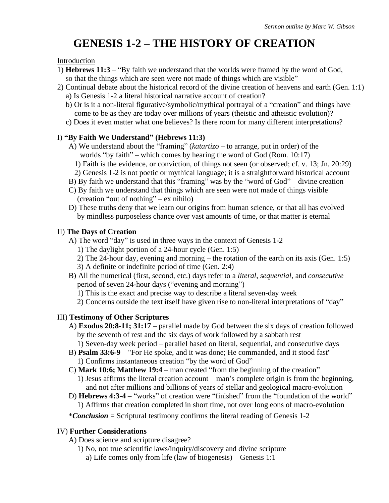# **GENESIS 1-2 – THE HISTORY OF CREATION**

#### Introduction

- 1) **Hebrews 11:3** "By faith we understand that the worlds were framed by the word of God, so that the things which are seen were not made of things which are visible"
- 2) Continual debate about the historical record of the divine creation of heavens and earth (Gen. 1:1)
	- a) Is Genesis 1-2 a literal historical narrative account of creation?
	- b) Or is it a non-literal figurative/symbolic/mythical portrayal of a "creation" and things have come to be as they are today over millions of years (theistic and atheistic evolution)?
	- c) Does it even matter what one believes? Is there room for many different interpretations?

### I) **"By Faith We Understand" (Hebrews 11:3)**

- A) We understand about the "framing" (*katartizo* to arrange, put in order) of the worlds "by faith" – which comes by hearing the word of God (Rom. 10:17)
	- 1) Faith is the evidence, or conviction, of things not seen (or observed; cf. v. 13; Jn. 20:29)
	- 2) Genesis 1-2 is not poetic or mythical language; it is a straightforward historical account
- B) By faith we understand that this "framing" was by the "word of God" divine creation
- C) By faith we understand that things which are seen were not made of things visible (creation "out of nothing" – ex nihilo)
- D) These truths deny that we learn our origins from human science, or that all has evolved by mindless purposeless chance over vast amounts of time, or that matter is eternal

### II) **The Days of Creation**

- A) The word "day" is used in three ways in the context of Genesis 1-2
	- 1) The daylight portion of a 24-hour cycle (Gen. 1:5)
	- 2) The 24-hour day, evening and morning the rotation of the earth on its axis (Gen. 1:5)
	- 3) A definite or indefinite period of time (Gen. 2:4)
- B) All the numerical (first, second, etc.) days refer to a *literal*, *sequential*, and *consecutive* period of seven 24-hour days ("evening and morning")
	- 1) This is the exact and precise way to describe a literal seven-day week
	- 2) Concerns outside the text itself have given rise to non-literal interpretations of "day"

# III) **Testimony of Other Scriptures**

- A) **Exodus 20:8-11; 31:17** parallel made by God between the six days of creation followed by the seventh of rest and the six days of work followed by a sabbath rest
	- 1) Seven-day week period parallel based on literal, sequential, and consecutive days
- B) **Psalm 33:6-9** "For He spoke, and it was done; He commanded, and it stood fast"
	- 1) Confirms instantaneous creation "by the word of God"
- C) **Mark 10:6; Matthew 19:4** man created "from the beginning of the creation" 1) Jesus affirms the literal creation account – man's complete origin is from the beginning, and not after millions and billions of years of stellar and geological macro-evolution
- D) **Hebrews 4:3-4** "works" of creation were "finished" from the "foundation of the world" 1) Affirms that creation completed in short time, not over long eons of macro-evolution
- \**Conclusion* = Scriptural testimony confirms the literal reading of Genesis 1-2

# IV) **Further Considerations**

- A) Does science and scripture disagree?
	- 1) No, not true scientific laws/inquiry/discovery and divine scripture
		- a) Life comes only from life (law of biogenesis) Genesis 1:1